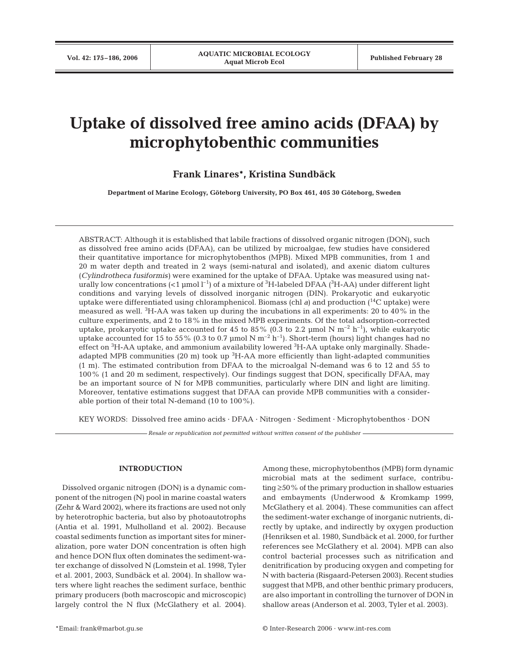# **Uptake of dissolved free amino acids (DFAA) by microphytobenthic communities**

# **Frank Linares\*, Kristina Sundbäck**

**Department of Marine Ecology, Göteborg University, PO Box 461, 405 30 Göteborg, Sweden**

ABSTRACT: Although it is established that labile fractions of dissolved organic nitrogen (DON), such as dissolved free amino acids (DFAA), can be utilized by microalgae, few studies have considered their quantitative importance for microphytobenthos (MPB). Mixed MPB communities, from 1 and 20 m water depth and treated in 2 ways (semi-natural and isolated), and axenic diatom cultures (*Cylindrotheca fusiformis)* were examined for the uptake of DFAA. Uptake was measured using naturally low concentrations (<1 µmol  $l^{-1}$ ) of a mixture of  ${}^{3}H$ -labeled DFAA ( ${}^{3}H$ -AA) under different light conditions and varying levels of dissolved inorganic nitrogen (DIN). Prokaryotic and eukaryotic uptake were differentiated using chloramphenicol. Biomass (chl *a*) and production (14C uptake) were measured as well.  $\rm ^3H\text{-}AA$  was taken up during the incubations in all experiments: 20 to 40% in the culture experiments, and 2 to 18% in the mixed MPB experiments. Of the total adsorption-corrected uptake, prokaryotic uptake accounted for 45 to 85% (0.3 to 2.2 µmol N  $m^{-2}$  h<sup>-1</sup>), while eukaryotic uptake accounted for 15 to 55% (0.3 to 0.7 µmol N  $\rm m^{-2}$  h<sup>-1</sup>). Short-term (hours) light changes had no effect on <sup>3</sup>H-AA uptake, and ammonium availability lowered <sup>3</sup>H-AA uptake only marginally. Shadeadapted MPB communities (20 m) took up  ${}^{3}H$ -AA more efficiently than light-adapted communities (1 m). The estimated contribution from DFAA to the microalgal N-demand was 6 to 12 and 55 to 100% (1 and 20 m sediment, respectively). Our findings suggest that DON, specifically DFAA, may be an important source of N for MPB communities, particularly where DIN and light are limiting. Moreover, tentative estimations suggest that DFAA can provide MPB communities with a considerable portion of their total N-demand (10 to 100%).

KEY WORDS: Dissolved free amino acids · DFAA · Nitrogen · Sediment · Microphytobenthos · DON

*Resale or republication not permitted without written consent of the publisher*

### **INTRODUCTION**

Dissolved organic nitrogen (DON) is a dynamic component of the nitrogen (N) pool in marine coastal waters (Zehr & Ward 2002), where its fractions are used not only by heterotrophic bacteria, but also by photoautotrophs (Antia et al. 1991, Mulholland et al. 2002). Because coastal sediments function as important sites for mineralization, pore water DON concentration is often high and hence DON flux often dominates the sediment-water exchange of dissolved N (Lomstein et al. 1998, Tyler et al. 2001, 2003, Sundbäck et al. 2004). In shallow waters where light reaches the sediment surface, benthic primary producers (both macroscopic and microscopic) largely control the N flux (McGlathery et al. 2004).

Among these, microphytobenthos (MPB) form dynamic microbial mats at the sediment surface, contributing ≥50% of the primary production in shallow estuaries and embayments (Underwood & Kromkamp 1999, McGlathery et al. 2004). These communities can affect the sediment-water exchange of inorganic nutrients, directly by uptake, and indirectly by oxygen production (Henriksen et al. 1980, Sundbäck et al. 2000, for further references see McGlathery et al. 2004). MPB can also control bacterial processes such as nitrification and denitrification by producing oxygen and competing for N with bacteria (Risgaard-Petersen 2003). Recent studies suggest that MPB, and other benthic primary producers, are also important in controlling the turnover of DON in shallow areas (Anderson et al. 2003, Tyler et al. 2003).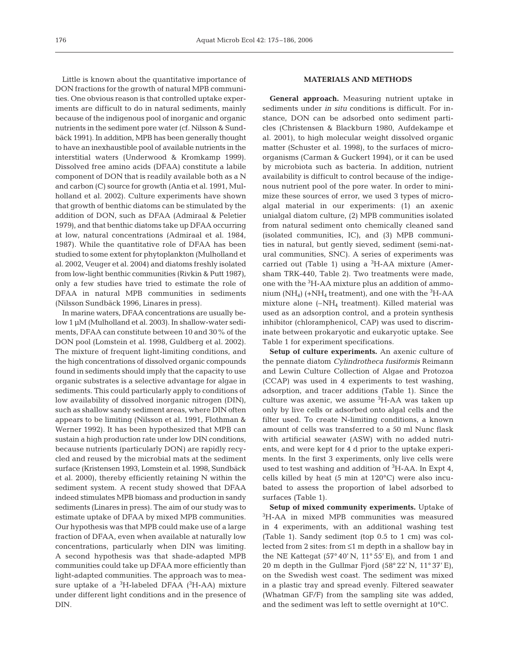Little is known about the quantitative importance of DON fractions for the growth of natural MPB communities. One obvious reason is that controlled uptake experiments are difficult to do in natural sediments, mainly because of the indigenous pool of inorganic and organic nutrients in the sediment pore water (cf. Nilsson & Sundbäck 1991). In addition, MPB has been generally thought to have an inexhaustible pool of available nutrients in the interstitial waters (Underwood & Kromkamp 1999). Dissolved free amino acids (DFAA) constitute a labile component of DON that is readily available both as a N and carbon (C) source for growth (Antia et al. 1991, Mulholland et al. 2002). Culture experiments have shown that growth of benthic diatoms can be stimulated by the addition of DON, such as DFAA (Admiraal & Peletier 1979), and that benthic diatoms take up DFAA occurring at low, natural concentrations (Admiraal et al. 1984, 1987). While the quantitative role of DFAA has been studied to some extent for phytoplankton (Mulholland et al. 2002, Veuger et al. 2004) and diatoms freshly isolated from low-light benthic communities (Rivkin & Putt 1987), only a few studies have tried to estimate the role of DFAA in natural MPB communities in sediments (Nilsson Sundbäck 1996, Linares in press).

In marine waters, DFAA concentrations are usually below 1 µM (Mulholland et al*.* 2003). In shallow-water sediments, DFAA can constitute between 10 and 30% of the DON pool (Lomstein et al. 1998, Guldberg et al*.* 2002). The mixture of frequent light-limiting conditions, and the high concentrations of dissolved organic compounds found in sediments should imply that the capacity to use organic substrates is a selective advantage for algae in sediments. This could particularly apply to conditions of low availability of dissolved inorganic nitrogen (DIN), such as shallow sandy sediment areas, where DIN often appears to be limiting (Nilsson et al*.* 1991, Flothman & Werner 1992). It has been hypothesized that MPB can sustain a high production rate under low DIN conditions, because nutrients (particularly DON) are rapidly recycled and reused by the microbial mats at the sediment surface (Kristensen 1993, Lomstein et al. 1998, Sundbäck et al. 2000), thereby efficiently retaining N within the sediment system. A recent study showed that DFAA indeed stimulates MPB biomass and production in sandy sediments (Linares in press). The aim of our study was to estimate uptake of DFAA by mixed MPB communities. Our hypothesis was that MPB could make use of a large fraction of DFAA, even when available at naturally low concentrations, particularly when DIN was limiting. A second hypothesis was that shade-adapted MPB communities could take up DFAA more efficiently than light-adapted communities. The approach was to measure uptake of a  ${}^{3}$ H-labeled DFAA ( ${}^{3}$ H-AA) mixture under different light conditions and in the presence of DIN.

## **MATERIALS AND METHODS**

**General approach.** Measuring nutrient uptake in sediments under *in situ* conditions is difficult. For instance, DON can be adsorbed onto sediment particles (Christensen & Blackburn 1980, Aufdekampe et al. 2001), to high molecular weight dissolved organic matter (Schuster et al. 1998), to the surfaces of microorganisms (Carman & Guckert 1994), or it can be used by microbiota such as bacteria. In addition, nutrient availability is difficult to control because of the indigenous nutrient pool of the pore water. In order to minimize these sources of error, we used 3 types of microalgal material in our experiments: (1) an axenic unialgal diatom culture, (2) MPB communities isolated from natural sediment onto chemically cleaned sand (isolated communities, IC), and (3) MPB communities in natural, but gently sieved, sediment (semi-natural communities, SNC). A series of experiments was carried out (Table 1) using a  ${}^{3}$ H-AA mixture (Amersham TRK-440, Table 2). Two treatments were made, one with the <sup>3</sup>H-AA mixture plus an addition of ammonium (NH<sub>4</sub>) (+NH<sub>4</sub> treatment), and one with the  ${}^{3}$ H-AA mixture alone (–NH4 treatment). Killed material was used as an adsorption control, and a protein synthesis inhibitor (chloramphenicol, CAP) was used to discriminate between prokaryotic and eukaryotic uptake. See Table 1 for experiment specifications.

**Setup of culture experiments.** An axenic culture of the pennate diatom *Cylindrotheca fusiformis* Reimann and Lewin Culture Collection of Algae and Protozoa (CCAP) was used in 4 experiments to test washing, adsorption, and tracer additions (Table 1). Since the culture was axenic, we assume <sup>3</sup>H-AA was taken up only by live cells or adsorbed onto algal cells and the filter used. To create N-limiting conditions, a known amount of cells was transferred to a 50 ml Nunc flask with artificial seawater (ASW) with no added nutrients, and were kept for 4 d prior to the uptake experiments. In the first 3 experiments, only live cells were used to test washing and addition of <sup>3</sup>H-AA. In Expt 4, cells killed by heat (5 min at 120°C) were also incubated to assess the proportion of label adsorbed to surfaces (Table 1).

**Setup of mixed community experiments.** Uptake of 3 H-AA in mixed MPB communities was measured in 4 experiments, with an additional washing test (Table 1). Sandy sediment (top 0.5 to 1 cm) was collected from 2 sites: from ≤1 m depth in a shallow bay in the NE Kattegat (57° 40' N, 11° 55' E), and from 1 and 20 m depth in the Gullmar Fjord (58° 22' N, 11° 37' E), on the Swedish west coast. The sediment was mixed in a plastic tray and spread evenly. Filtered seawater (Whatman GF/F) from the sampling site was added, and the sediment was left to settle overnight at 10°C.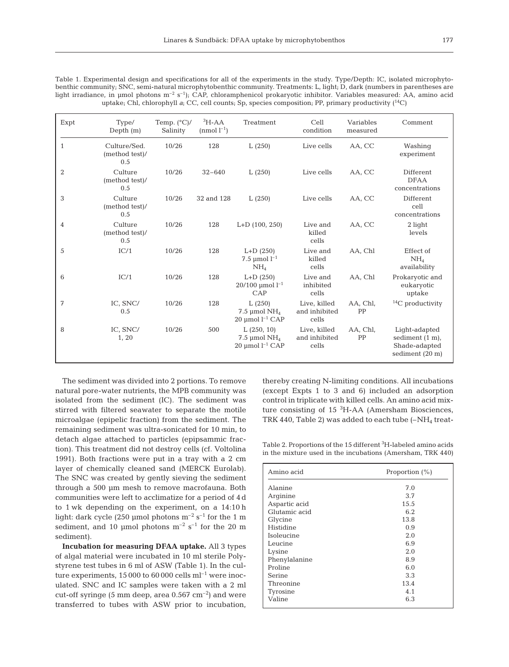Table 1. Experimental design and specifications for all of the experiments in the study. Type/Depth: IC, isolated microphytobenthic community; SNC, semi-natural microphytobenthic community. Treatments: L, light; D, dark (numbers in parentheses are light irradiance, in µmol photons  $m^{-2} s^{-1}$ ; CAP, chloramphenicol prokaryotic inhibitor. Variables measured: AA, amino acid uptake; Chl, chlorophyll *a*; CC, cell counts; Sp, species composition; PP, primary productivity (<sup>14</sup>C)

| Expt           | Type/<br>Depth $(m)$                  | Temp. $(^{\circ}C)/$<br>Salinity | ${}^{3}H$ -AA<br>(nmol $l^{-1}$ ) | Treatment                                                 | Cell<br>condition                      | Variables<br>measured | Comment                                                              |  |
|----------------|---------------------------------------|----------------------------------|-----------------------------------|-----------------------------------------------------------|----------------------------------------|-----------------------|----------------------------------------------------------------------|--|
| $\mathbf{1}$   | Culture/Sed.<br>(method test)/<br>0.5 | 10/26                            | 128                               | L(250)                                                    | Live cells                             | AA, CC                | Washing<br>experiment                                                |  |
| $\overline{2}$ | Culture<br>(method test)/<br>0.5      | 10/26                            | $32 - 640$                        | L(250)                                                    | Live cells                             | AA, CC                | Different<br><b>DFAA</b><br>concentrations                           |  |
| 3              | Culture<br>(method test)/<br>0.5      | 10/26                            | 32 and 128                        | L(250)                                                    | Live cells                             | AA, CC                | Different<br>cell<br>concentrations                                  |  |
| $\overline{4}$ | Culture<br>(method test)/<br>0.5      | 10/26                            | 128                               | $L+D(100, 250)$                                           | Live and<br>killed<br>cells            | AA, CC                | $2$ light<br>levels                                                  |  |
| 5              | IC/1                                  | 10/26                            | 128                               | $L+D(250)$<br>7.5 µmol $l^{-1}$<br>NH <sub>4</sub>        | Live and<br>killed<br>cells            | AA, Chl               | Effect of<br>NH <sub>4</sub><br>availability                         |  |
| 6              | IC/1                                  | 10/26                            | 128                               | $L+D(250)$<br>$20/100$ µmol $l^{-1}$<br>CAP               | Live and<br>inhibited<br>cells         | AA, Chl               | Prokaryotic and<br>eukaryotic<br>uptake                              |  |
| 7              | IC, SNC/<br>0.5                       | 10/26                            | 128                               | L(250)<br>7.5 µmol $NH4$<br>$20 \mu$ mol $l^{-1}$ CAP     | Live, killed<br>and inhibited<br>cells | AA, Chl,<br>PP        | $14$ C productivity                                                  |  |
| 8              | IC, SNC/<br>1, 20                     | 10/26                            | 500                               | L(250, 10)<br>7.5 umol $NH4$<br>20 $\mu$ mol $l^{-1}$ CAP | Live, killed<br>and inhibited<br>cells | AA, Chl,<br>PP        | Light-adapted<br>sediment (1 m),<br>Shade-adapted<br>sediment (20 m) |  |

The sediment was divided into 2 portions. To remove natural pore-water nutrients, the MPB community was isolated from the sediment (IC). The sediment was stirred with filtered seawater to separate the motile microalgae (epipelic fraction) from the sediment. The remaining sediment was ultra-sonicated for 10 min, to detach algae attached to particles (epipsammic fraction). This treatment did not destroy cells (cf. Voltolina 1991). Both fractions were put in a tray with a 2 cm layer of chemically cleaned sand (MERCK Eurolab). The SNC was created by gently sieving the sediment through a 500 µm mesh to remove macrofauna. Both communities were left to acclimatize for a period of 4d to 1 wk depending on the experiment, on a 14:10 h light: dark cycle (250 µmol photons  $m^{-2}$  s<sup>-1</sup> for the 1 m sediment, and 10 µmol photons  $m^{-2}$  s<sup>-1</sup> for the 20 m sediment).

**Incubation for measuring DFAA uptake.** All 3 types of algal material were incubated in 10 ml sterile Polystyrene test tubes in 6 ml of ASW (Table 1). In the culture experiments, 15 000 to 60 000 cells  $ml^{-1}$  were inoculated. SNC and IC samples were taken with a 2 ml cut-off syringe (5 mm deep, area  $0.567$  cm<sup>-2</sup>) and were transferred to tubes with ASW prior to incubation,

thereby creating N-limiting conditions. All incubations (except Expts 1 to 3 and 6) included an adsorption control in triplicate with killed cells. An amino acid mixture consisting of 15 <sup>3</sup> H-AA (Amersham Biosciences, TRK 440, Table 2) was added to each tube  $(-NH<sub>4</sub>$  treat-

Table 2. Proportions of the 15 different <sup>3</sup>H-labeled amino acids in the mixture used in the incubations (Amersham, TRK 440)

| Amino acid    | Proportion $(\% )$ |  |  |  |  |  |
|---------------|--------------------|--|--|--|--|--|
| Alanine       | 7.0                |  |  |  |  |  |
| Arginine      | 3.7                |  |  |  |  |  |
| Aspartic acid | 15.5               |  |  |  |  |  |
| Glutamic acid | 6.2                |  |  |  |  |  |
| Glycine       | 13.8               |  |  |  |  |  |
| Histidine     | 0.9                |  |  |  |  |  |
| Isoleucine    | 2.0                |  |  |  |  |  |
| Leucine       | 6.9                |  |  |  |  |  |
| Lysine        | 2.0                |  |  |  |  |  |
| Phenylalanine | 8.9                |  |  |  |  |  |
| Proline       | 6.0                |  |  |  |  |  |
| Serine        | 3.3                |  |  |  |  |  |
| Threonine     | 13.4               |  |  |  |  |  |
| Tyrosine      | 4.1                |  |  |  |  |  |
| Valine        | 6.3                |  |  |  |  |  |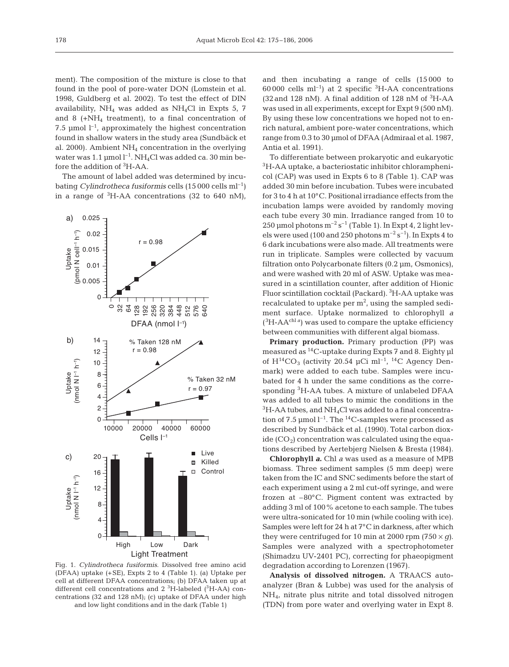ment). The composition of the mixture is close to that found in the pool of pore-water DON (Lomstein et al. 1998, Guldberg et al. 2002). To test the effect of DIN availability,  $NH_4$  was added as  $NH_4Cl$  in Expts 5, 7 and 8  $(+NH<sub>4</sub>$  treatment), to a final concentration of 7.5 µmol  $l^{-1}$ , approximately the highest concentration found in shallow waters in the study area (Sundbäck et al. 2000). Ambient  $NH<sub>4</sub>$  concentration in the overlying water was  $1.1 \text{ }\mu\text{mol}^{-1}$ . NH<sub>4</sub>Cl was added ca. 30 min before the addition of 3 H-AA.

The amount of label added was determined by incubating *Cylindrotheca fusiformis* cells (15 000 cells ml–1) in a range of  ${}^{3}$ H-AA concentrations (32 to 640 nM),



Fig. 1. *Cylindrotheca fusiformis*. Dissolved free amino acid (DFAA) uptake (+SE), Expts 2 to 4 (Table 1). (a) Uptake per cell at different DFAA concentrations; (b) DFAA taken up at different cell concentrations and  $2 \text{ }^{3}$ H-labeled ( $3$ H-AA) concentrations (32 and 128 nM); (c) uptake of DFAA under high and low light conditions and in the dark (Table 1)

and then incubating a range of cells (15 000 to  $60\,000$  cells ml<sup>-1</sup>) at 2 specific <sup>3</sup>H-AA concentrations  $(32 \text{ and } 128 \text{ nM})$ . A final addition of 128 nM of <sup>3</sup>H-AA was used in all experiments, except for Expt 9 (500 nM). By using these low concentrations we hoped not to enrich natural, ambient pore-water concentrations, which range from 0.3 to 30 µmol of DFAA (Admiraal et al. 1987, Antia et al. 1991).

To differentiate between prokaryotic and eukaryotic 3H-AA uptake, a bacteriostatic inhibitor chloramphenicol (CAP) was used in Expts 6 to 8 (Table 1). CAP was added 30 min before incubation. Tubes were incubated for 3 to 4 h at 10°C. Positional irradiance effects from the incubation lamps were avoided by randomly moving each tube every 30 min. Irradiance ranged from 10 to 250 µmol photons  $m^{-2} s^{-1}$  (Table 1). In Expt 4, 2 light levels were used (100 and 250 photons  $m^{-2} s^{-1}$ ). In Expts 4 to 6 dark incubations were also made. All treatments were run in triplicate. Samples were collected by vacuum filtration onto Polycarbonate filters (0.2 µm, Osmonics), and were washed with 20 ml of ASW. Uptake was measured in a scintillation counter, after addition of Hionic Fluor scintillation cocktail (Packard). <sup>3</sup>H-AA uptake was recalculated to uptake per  $m^2$ , using the sampled sediment surface. Uptake normalized to chlorophyll *a*  $(^{3}$ H-AA<sup>chl *a*</sup>) was used to compare the uptake efficiency between communities with different algal biomass.

**Primary production.** Primary production (PP) was measured as  ${}^{14}$ C-uptake during Expts 7 and 8. Eighty µl of  $H^{14}CO_3$  (activity 20.54 µCi ml<sup>-1</sup>, <sup>14</sup>C Agency Denmark) were added to each tube. Samples were incubated for 4 h under the same conditions as the corresponding 3H-AA tubes. A mixture of unlabeled DFAA was added to all tubes to mimic the conditions in the  ${}^{3}$ H-AA tubes, and NH<sub>4</sub>Cl was added to a final concentration of 7.5 µmol  $l^{-1}$ . The <sup>14</sup>C-samples were processed as described by Sundbäck et al. (1990). Total carbon dioxide  $(CO_2)$  concentration was calculated using the equations described by Aertebjerg Nielsen & Bresta (1984).

**Chlorophyll** *a***.** Chl *a* was used as a measure of MPB biomass. Three sediment samples (5 mm deep) were taken from the IC and SNC sediments before the start of each experiment using a 2 ml cut-off syringe, and were frozen at –80°C. Pigment content was extracted by adding 3 ml of 100% acetone to each sample. The tubes were ultra-sonicated for 10 min (while cooling with ice). Samples were left for 24 h at 7°C in darkness, after which they were centrifuged for 10 min at 2000 rpm  $(750 \times g)$ . Samples were analyzed with a spectrophotometer (Shimadzu UV-2401 PC), correcting for phaeopigment degradation according to Lorenzen (1967).

**Analysis of dissolved nitrogen.** A TRAACS autoanalyzer (Bran & Lubbe) was used for the analysis of NH4, nitrate plus nitrite and total dissolved nitrogen (TDN) from pore water and overlying water in Expt 8.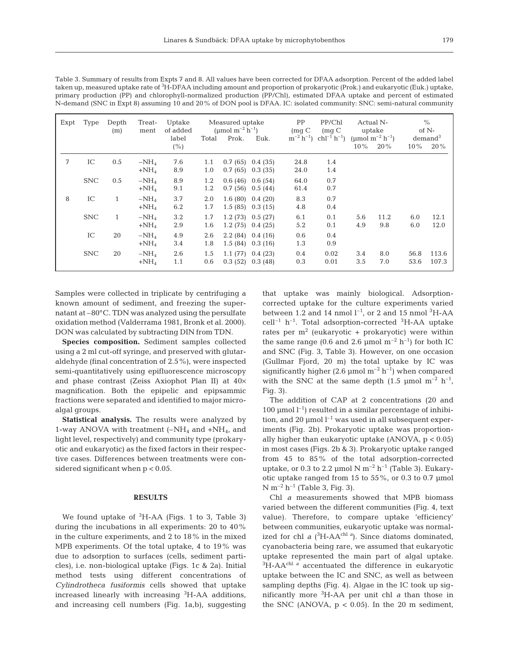Table 3. Summary of results from Expts 7 and 8. All values have been corrected for DFAA adsorption. Percent of the added label taken up, measured uptake rate of  $^3\rm H$ -DFAA including amount and proportion of prokaryotic (Prok.) and eukaryotic (Euk.) uptake, primary production (PP) and chlorophyll-normalized production (PP/Chl), estimated DFAA uptake and percent of estimated N-demand (SNC in Expt 8) assuming 10 and 20% of DON pool is DFAA. IC: isolated community: SNC: semi-natural community

| Expt | Type       | Depth<br>(m) | Treat-<br>ment    | Uptake<br>of added | Measured uptake<br>(umol m <sup>-2</sup> h <sup>-1</sup> ) |                    | PP<br>$\left(\text{mq C}\right)$ | PP/Chl<br>(mq C)           |                  | Actual N-<br>uptake |                                                | $\%$<br>$of N-$ |                            |
|------|------------|--------------|-------------------|--------------------|------------------------------------------------------------|--------------------|----------------------------------|----------------------------|------------------|---------------------|------------------------------------------------|-----------------|----------------------------|
|      |            |              |                   | label<br>(%)       | Total                                                      | Prok.              | Euk.                             | $m^{-2}$ h <sup>-1</sup> ) | $\ch^{-1}h^{-1}$ | $10\%$              | (µmol m <sup>-2</sup> h <sup>-1</sup> )<br>20% | $10\%$          | demand <sup>3</sup><br>20% |
| 7    | IC         | 0.5          | $-NH_4$<br>$+NH4$ | 7.6<br>8.9         | 1.1<br>1.0                                                 | 0.7(65)<br>0.7(65) | 0.4(35)<br>0.3(35)               | 24.8<br>24.0               | 1.4<br>1.4       |                     |                                                |                 |                            |
|      | <b>SNC</b> | 0.5          | $-NH_4$<br>$+NH4$ | 8.9<br>9.1         | 1.2<br>1.2                                                 | 0.6(46)<br>0.7(56) | 0.6(54)<br>0.5(44)               | 64.0<br>61.4               | 0.7<br>0.7       |                     |                                                |                 |                            |
| 8    | IC         | $\mathbf{1}$ | $-NH_4$<br>$+NH4$ | 3.7<br>6.2         | 2.0<br>1.7                                                 | 1.6(80)<br>1.5(85) | 0.4(20)<br>0.3(15)               | 8.3<br>4.8                 | 0.7<br>0.4       |                     |                                                |                 |                            |
|      | <b>SNC</b> | $\mathbf{1}$ | $-NH_4$<br>$+NH4$ | 3.2<br>2.9         | 1.7<br>1.6                                                 | 1.2(73)<br>1.2(75) | 0.5(27)<br>0.4(25)               | 6.1<br>5.2                 | 0.1<br>0.1       | 5.6<br>4.9          | 11.2<br>9.8                                    | 6.0<br>6.0      | 12.1<br>12.0               |
|      | IC         | 20           | $-NH_4$<br>$+NH4$ | 4.9<br>3.4         | 2.6<br>1.8                                                 | 2.2(84)<br>1.5(84) | 0.4(16)<br>0.3(16)               | 0.6<br>1.3                 | 0.4<br>0.9       |                     |                                                |                 |                            |
|      | <b>SNC</b> | 20           | $-NH_4$<br>$+NH4$ | 2.6<br>1.1         | 1.5<br>0.6                                                 | 1.1(77)<br>0.3(52) | 0.4(23)<br>0.3(48)               | 0.4<br>0.3                 | 0.02<br>0.01     | 3.4<br>3.5          | 8.0<br>7.0                                     | 56.8<br>53.6    | 113.6<br>107.3             |

Samples were collected in triplicate by centrifuging a known amount of sediment, and freezing the supernatant at –80°C. TDN was analyzed using the persulfate oxidation method (Valderrama 1981, Bronk et al. 2000). DON was calculated by subtracting DIN from TDN.

**Species composition.** Sediment samples collected using a 2 ml cut-off syringe, and preserved with glutaraldehyde (final concentration of 2.5%), were inspected semi-quantitatively using epifluorescence microscopy and phase contrast (Zeiss Axiophot Plan II) at 40× magnification. Both the epipelic and epipsammic fractions were separated and identified to major microalgal groups.

**Statistical analysis.** The results were analyzed by 1-way ANOVA with treatment  $(-NH_4$  and  $+NH_4$ , and light level, respectively) and community type (prokaryotic and eukaryotic) as the fixed factors in their respective cases. Differences between treatments were considered significant when p < 0.05.

#### **RESULTS**

We found uptake of  ${}^{3}$ H-AA (Figs. 1 to 3, Table 3) during the incubations in all experiments: 20 to 40% in the culture experiments, and 2 to 18% in the mixed MPB experiments. Of the total uptake, 4 to 19% was due to adsorption to surfaces (cells, sediment particles), i.e. non-biological uptake (Figs. 1c & 2a). Initial method tests using different concentrations of *Cylindrotheca fusiformis* cells showed that uptake increased linearly with increasing <sup>3</sup> H-AA additions, and increasing cell numbers (Fig. 1a,b), suggesting

that uptake was mainly biological. Adsorptioncorrected uptake for the culture experiments varied between 1.2 and 14 nmol  $l^{-1}$ , or 2 and 15 nmol  ${}^{3}$ H-AA  $cell^{-1}$  h<sup>-1</sup>. Total adsorption-corrected <sup>3</sup>H-AA uptake rates per  $m^2$  (eukaryotic + prokaryotic) were within the same range (0.6 and 2.6 µmol  $m^{-2}$  h<sup>-1</sup>) for both IC and SNC (Fig. 3, Table 3). However, on one occasion (Gullmar Fjord, 20 m) the total uptake by IC was significantly higher (2.6 µmol  $m^{-2}$  h<sup>-1</sup>) when compared with the SNC at the same depth (1.5 µmol  $m^{-2} h^{-1}$ , Fig. 3).

The addition of CAP at 2 concentrations (20 and 100  $\mu$ mol l<sup>-1</sup>) resulted in a similar percentage of inhibition, and 20  $\mu$ mol  $l^{-1}$  was used in all subsequent experiments (Fig. 2b). Prokaryotic uptake was proportionally higher than eukaryotic uptake  $(ANOVA, p < 0.05)$ in most cases (Figs. 2b & 3). Prokaryotic uptake ranged from 45 to 85% of the total adsorption-corrected uptake, or 0.3 to 2.2 µmol N  $m^{-2}$  h<sup>-1</sup> (Table 3). Eukaryotic uptake ranged from 15 to 55%, or 0.3 to 0.7 µmol  $N m^{-2} h^{-1}$  (Table 3, Fig. 3).

Chl *a* measurements showed that MPB biomass varied between the different communities (Fig. 4, text value). Therefore, to compare uptake 'efficiency' between communities, eukaryotic uptake was normalized for chl  $a$  ( ${}^{3}$ H-AA<sup>chl *a*</sup>). Since diatoms dominated, cyanobacteria being rare, we assumed that eukaryotic uptake represented the main part of algal uptake. <sup>3</sup>H-AA<sup>chl a</sup> accentuated the difference in eukaryotic uptake between the IC and SNC, as well as between sampling depths (Fig. 4). Algae in the IC took up significantly more <sup>3</sup> H-AA per unit chl *a* than those in the SNC (ANOVA,  $p < 0.05$ ). In the 20 m sediment,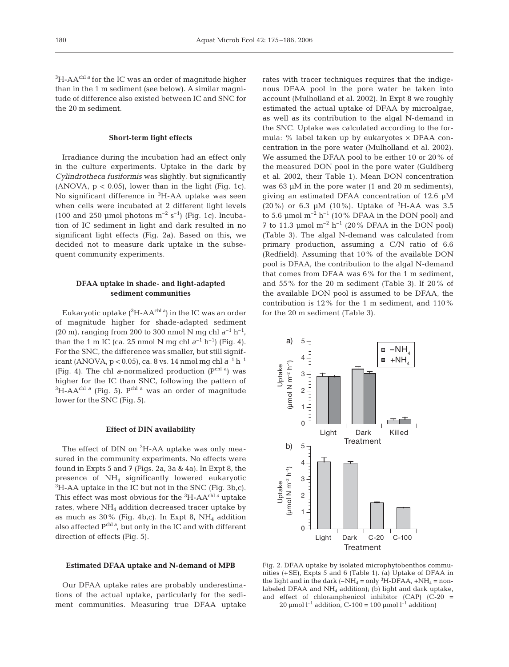${}^{3}{\rm H}$ -AA $^{\rm chl}$  a for the IC was an order of magnitude higher than in the 1 m sediment (see below). A similar magnitude of difference also existed between IC and SNC for the 20 m sediment.

#### **Short-term light effects**

Irradiance during the incubation had an effect only in the culture experiments. Uptake in the dark by *Cylindrotheca fusiformis* was slightly, but significantly (ANOVA,  $p < 0.05$ ), lower than in the light (Fig. 1c). No significant difference in <sup>3</sup>H-AA uptake was seen when cells were incubated at 2 different light levels (100 and 250 µmol photons  $m^{-2}$  s<sup>-1</sup>) (Fig. 1c). Incubation of IC sediment in light and dark resulted in no significant light effects (Fig. 2a). Based on this, we decided not to measure dark uptake in the subsequent community experiments.

# **DFAA uptake in shade- and light-adapted sediment communities**

Eukaryotic uptake (3 H-AAchl *<sup>a</sup>* ) in the IC was an order of magnitude higher for shade-adapted sediment (20 m), ranging from 200 to 300 nmol N mg chl  $a^{-1}$  h<sup>-1</sup>, than the 1 m IC (ca. 25 nmol N mg chl  $a^{-1}$  h<sup>-1</sup>) (Fig. 4). For the SNC, the difference was smaller, but still significant (ANOVA, p < 0.05), ca. 8 vs. 14 nmol mg chl *a*–1 h–1 (Fig. 4). The chl *a*-normalized production (Pchl a) was higher for the IC than SNC, following the pattern of  ${}^{3}\text{H-AA}^{\text{chl }a}$  (Fig. 5). P<sup>chl a</sup> was an order of magnitude lower for the SNC (Fig. 5).

#### **Effect of DIN availability**

The effect of DIN on <sup>3</sup>H-AA uptake was only measured in the community experiments. No effects were found in Expts 5 and 7 (Figs. 2a, 3a & 4a). In Expt 8, the presence of NH4 significantly lowered eukaryotic  ${}^{3}$ H-AA uptake in the IC but not in the SNC (Fig. 3b,c). This effect was most obvious for the <sup>3</sup> H-AAchl *<sup>a</sup>* uptake rates, where  $NH<sub>4</sub>$  addition decreased tracer uptake by as much as  $30\%$  (Fig. 4b,c). In Expt 8, NH<sub>4</sub> addition also affected P<sup>chl a</sup>, but only in the IC and with different direction of effects (Fig. 5).

#### **Estimated DFAA uptake and N-demand of MPB**

Our DFAA uptake rates are probably underestimations of the actual uptake, particularly for the sediment communities. Measuring true DFAA uptake

rates with tracer techniques requires that the indigenous DFAA pool in the pore water be taken into account (Mulholland et al. 2002). In Expt 8 we roughly estimated the actual uptake of DFAA by microalgae, as well as its contribution to the algal N-demand in the SNC. Uptake was calculated according to the formula:  $%$  label taken up by eukaryotes  $\times$  DFAA concentration in the pore water (Mulholland et al. 2002). We assumed the DFAA pool to be either 10 or 20% of the measured DON pool in the pore water (Guldberg et al. 2002, their Table 1). Mean DON concentration was 63 µM in the pore water (1 and 20 m sediments), giving an estimated DFAA concentration of 12.6 µM (20%) or 6.3 µM (10%). Uptake of <sup>3</sup>H-AA was 3.5 to 5.6 µmol  $m^{-2}$  h<sup>-1</sup> (10% DFAA in the DON pool) and 7 to 11.3 µmol  $m^{-2}$  h<sup>-1</sup> (20% DFAA in the DON pool) (Table 3). The algal N-demand was calculated from primary production, assuming a C/N ratio of 6.6 (Redfield). Assuming that 10% of the available DON pool is DFAA, the contribution to the algal N-demand that comes from DFAA was 6% for the 1 m sediment, and 55% for the 20 m sediment (Table 3). If 20% of the available DON pool is assumed to be DFAA, the contribution is 12% for the 1 m sediment, and 110% for the 20 m sediment (Table 3).



Fig. 2. DFAA uptake by isolated microphytobenthos communities (+SE), Expts 5 and 6 (Table 1). (a) Uptake of DFAA in the light and in the dark  $(-NH_4 = only 3H-DFAA, +NH_4 = non$ labeled DFAA and NH4 addition); (b) light and dark uptake, and effect of chloramphenicol inhibitor  $(CAP)$   $(C-20$  = 20 µmol  $l^{-1}$  addition, C-100 = 100 µmol  $l^{-1}$  addition)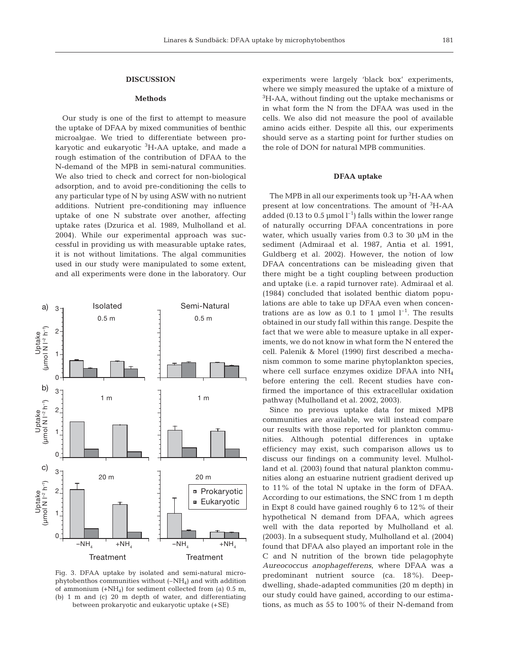#### **DISCUSSION**

### **Methods**

Our study is one of the first to attempt to measure the uptake of DFAA by mixed communities of benthic microalgae. We tried to differentiate between prokaryotic and eukaryotic 3H-AA uptake, and made a rough estimation of the contribution of DFAA to the N-demand of the MPB in semi-natural communities. We also tried to check and correct for non-biological adsorption, and to avoid pre-conditioning the cells to any particular type of N by using ASW with no nutrient additions. Nutrient pre-conditioning may influence uptake of one N substrate over another, affecting uptake rates (Dzurica et al. 1989, Mulholland et al. 2004). While our experimental approach was successful in providing us with measurable uptake rates, it is not without limitations. The algal communities used in our study were manipulated to some extent, and all experiments were done in the laboratory. Our



Fig. 3. DFAA uptake by isolated and semi-natural microphytobenthos communities without  $(-NH<sub>4</sub>)$  and with addition of ammonium (+NH4) for sediment collected from (a) 0.5 m, (b) 1 m and (c) 20 m depth of water, and differentiating between prokaryotic and eukaryotic uptake (+SE)

experiments were largely 'black box' experiments, where we simply measured the uptake of a mixture of <sup>3</sup>H-AA, without finding out the uptake mechanisms or in what form the N from the DFAA was used in the cells. We also did not measure the pool of available amino acids either. Despite all this, our experiments should serve as a starting point for further studies on the role of DON for natural MPB communities.

#### **DFAA uptake**

The MPB in all our experiments took up <sup>3</sup>H-AA when present at low concentrations. The amount of <sup>3</sup>H-AA added (0.13 to 0.5 µmol  $l^{-1}$ ) falls within the lower range of naturally occurring DFAA concentrations in pore water, which usually varies from  $0.3$  to  $30 \mu M$  in the sediment (Admiraal et al. 1987, Antia et al. 1991, Guldberg et al. 2002). However, the notion of low DFAA concentrations can be misleading given that there might be a tight coupling between production and uptake (i.e. a rapid turnover rate). Admiraal et al. (1984) concluded that isolated benthic diatom populations are able to take up DFAA even when concentrations are as low as 0.1 to 1 µmol  $l^{-1}$ . The results obtained in our study fall within this range. Despite the fact that we were able to measure uptake in all experiments, we do not know in what form the N entered the cell. Palenik & Morel (1990) first described a mechanism common to some marine phytoplankton species, where cell surface enzymes oxidize DFAA into NH4 before entering the cell. Recent studies have confirmed the importance of this extracellular oxidation pathway (Mulholland et al. 2002, 2003).

Since no previous uptake data for mixed MPB communities are available, we will instead compare our results with those reported for plankton communities. Although potential differences in uptake efficiency may exist, such comparison allows us to discuss our findings on a community level. Mulholland et al. (2003) found that natural plankton communities along an estuarine nutrient gradient derived up to 11% of the total N uptake in the form of DFAA. According to our estimations, the SNC from 1 m depth in Expt 8 could have gained roughly 6 to 12% of their hypothetical N demand from DFAA, which agrees well with the data reported by Mulholland et al. (2003). In a subsequent study, Mulholland et al. (2004) found that DFAA also played an important role in the C and N nutrition of the brown tide pelagophyte *Aureococcus anophagefferens*, where DFAA was a predominant nutrient source (ca. 18%). Deepdwelling, shade-adapted communities (20 m depth) in our study could have gained, according to our estimations, as much as 55 to 100% of their N-demand from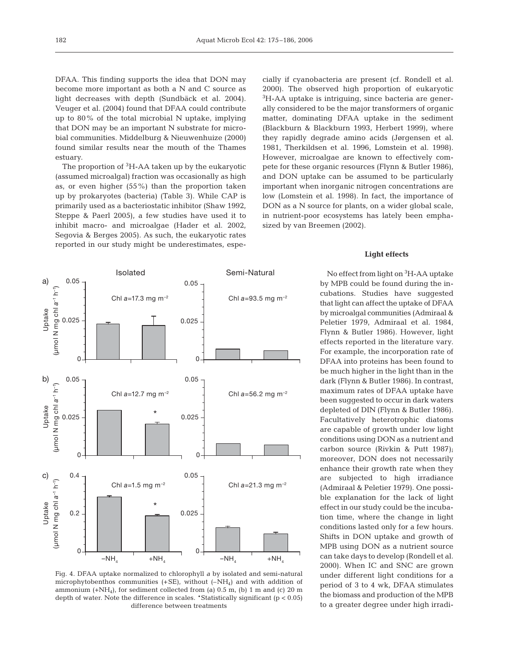DFAA. This finding supports the idea that DON may become more important as both a N and C source as light decreases with depth (Sundbäck et al. 2004). Veuger et al. (2004) found that DFAA could contribute up to 80% of the total microbial N uptake, implying that DON may be an important N substrate for microbial communities. Middelburg & Nieuwenhuize (2000) found similar results near the mouth of the Thames estuary.

The proportion of  ${}^{3}H$ -AA taken up by the eukaryotic (assumed microalgal) fraction was occasionally as high as, or even higher (55%) than the proportion taken up by prokaryotes (bacteria) (Table 3). While CAP is primarily used as a bacteriostatic inhibitor (Shaw 1992, Steppe & Paerl 2005), a few studies have used it to inhibit macro- and microalgae (Hader et al. 2002, Segovia & Berges 2005). As such, the eukaryotic rates reported in our study might be underestimates, especially if cyanobacteria are present (cf. Rondell et al. 2000). The observed high proportion of eukaryotic <sup>3</sup>H-AA uptake is intriguing, since bacteria are generally considered to be the major transformers of organic matter, dominating DFAA uptake in the sediment (Blackburn & Blackburn 1993, Herbert 1999), where they rapidly degrade amino acids (Jørgensen et al. 1981, Therkildsen et al. 1996, Lomstein et al. 1998). However, microalgae are known to effectively compete for these organic resources (Flynn & Butler 1986), and DON uptake can be assumed to be particularly important when inorganic nitrogen concentrations are low (Lomstein et al. 1998). In fact, the importance of DON as a N source for plants, on a wider global scale, in nutrient-poor ecosystems has lately been emphasized by van Breemen (2002).

#### **Light effects**

No effect from light on <sup>3</sup>H-AA uptake by MPB could be found during the incubations. Studies have suggested that light can affect the uptake of DFAA by microalgal communities (Admiraal & Peletier 1979, Admiraal et al. 1984, Flynn & Butler 1986). However, light effects reported in the literature vary. For example, the incorporation rate of DFAA into proteins has been found to be much higher in the light than in the dark (Flynn & Butler 1986). In contrast, maximum rates of DFAA uptake have been suggested to occur in dark waters depleted of DIN (Flynn & Butler 1986). Facultatively heterotrophic diatoms are capable of growth under low light conditions using DON as a nutrient and carbon source (Rivkin & Putt 1987); moreover, DON does not necessarily enhance their growth rate when they are subjected to high irradiance (Admiraal & Peletier 1979). One possible explanation for the lack of light effect in our study could be the incubation time, where the change in light conditions lasted only for a few hours. Shifts in DON uptake and growth of MPB using DON as a nutrient source can take days to develop (Rondell et al. 2000). When IC and SNC are grown under different light conditions for a period of 3 to 4 wk, DFAA stimulates the biomass and production of the MPB to a greater degree under high irradi-



Fig. 4. DFAA uptake normalized to chlorophyll *a* by isolated and semi-natural microphytobenthos communities  $(+SE)$ , without  $(-NH<sub>4</sub>)$  and with addition of ammonium  $(+NH<sub>4</sub>)$ , for sediment collected from (a) 0.5 m, (b) 1 m and (c) 20 m depth of water. Note the difference in scales. \*Statistically significant (p < 0.05) difference between treatments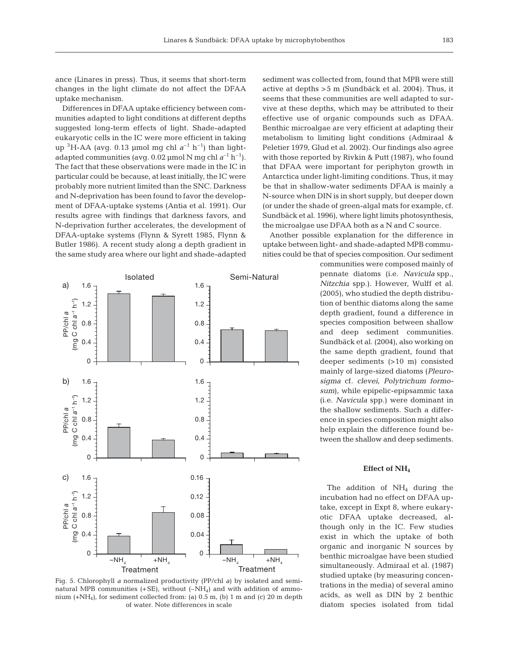ance (Linares in press). Thus, it seems that short-term changes in the light climate do not affect the DFAA uptake mechanism.

Differences in DFAA uptake efficiency between communities adapted to light conditions at different depths suggested long-term effects of light. Shade-adapted eukaryotic cells in the IC were more efficient in taking up <sup>3</sup>H-AA (avg. 0.13 µmol mg chl  $a^{-1}$  h<sup>-1</sup>) than lightadapted communities (avg. 0.02 µmol N mg chl  $a^{-1}$  h<sup>-1</sup>). The fact that these observations were made in the IC in particular could be because, at least initially, the IC were probably more nutrient limited than the SNC. Darkness and N-deprivation has been found to favor the development of DFAA-uptake systems (Antia et al. 1991). Our results agree with findings that darkness favors, and N-deprivation further accelerates, the development of DFAA-uptake systems (Flynn & Syrett 1985, Flynn & Butler 1986). A recent study along a depth gradient in the same study area where our light and shade-adapted



Fig. 5. Chlorophyll *a* normalized productivity (PP/chl *a*) by isolated and seminatural MPB communities  $(+SE)$ , without  $(-NH<sub>4</sub>)$  and with addition of ammonium  $(+NH_4)$ , for sediment collected from: (a) 0.5 m, (b) 1 m and (c) 20 m depth of water. Note differences in scale

sediment was collected from, found that MPB were still active at depths >5 m (Sundbäck et al. 2004). Thus, it seems that these communities are well adapted to survive at these depths, which may be attributed to their effective use of organic compounds such as DFAA. Benthic microalgae are very efficient at adapting their metabolism to limiting light conditions (Admiraal & Peletier 1979, Glud et al. 2002). Our findings also agree with those reported by Rivkin & Putt (1987), who found that DFAA were important for periphyton growth in Antarctica under light-limiting conditions. Thus, it may be that in shallow-water sediments DFAA is mainly a N-source when DIN is in short supply, but deeper down (or under the shade of green-algal mats for example, cf. Sundbäck et al. 1996), where light limits photosynthesis, the microalgae use DFAA both as a N and C source.

Another possible explanation for the difference in uptake between light- and shade-adapted MPB communities could be that of species composition. Our sediment

> communities were composed mainly of pennate diatoms (i.e. *Navicula* spp., *Nitzchia* spp.). However, Wulff et al. (2005), who studied the depth distribution of benthic diatoms along the same depth gradient, found a difference in species composition between shallow and deep sediment communities. Sundbäck et al. (2004), also working on the same depth gradient, found that deeper sediments (>10 m) consisted mainly of large-sized diatoms (*Pleurosigma* cf. *clevei*, *Polytrichum formosum*), while epipelic-epipsammic taxa (i.e. *Navicula* spp.) were dominant in the shallow sediments. Such a difference in species composition might also help explain the difference found between the shallow and deep sediments.

#### **Effect of NH4**

The addition of  $NH<sub>4</sub>$  during the incubation had no effect on DFAA uptake, except in Expt 8, where eukaryotic DFAA uptake decreased, although only in the IC. Few studies exist in which the uptake of both organic and inorganic N sources by benthic microalgae have been studied simultaneously. Admiraal et al. (1987) studied uptake (by measuring concentrations in the media) of several amino acids, as well as DIN by 2 benthic diatom species isolated from tidal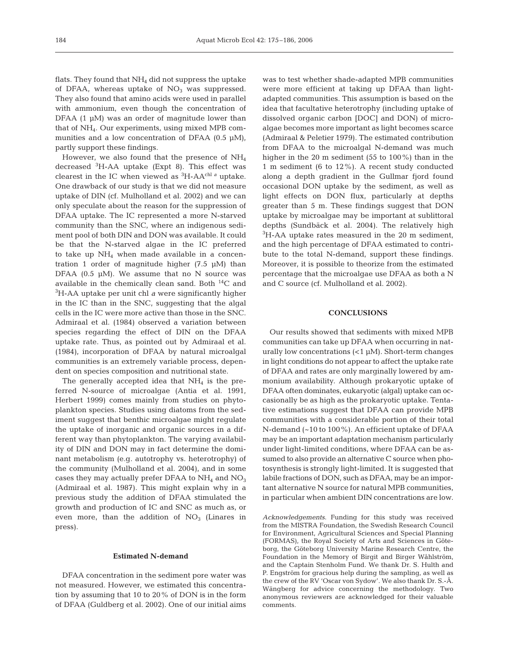flats. They found that  $NH<sub>4</sub>$  did not suppress the uptake of DFAA, whereas uptake of  $NO<sub>3</sub>$  was suppressed. They also found that amino acids were used in parallel with ammonium, even though the concentration of DFAA (1 µM) was an order of magnitude lower than that of NH4. Our experiments, using mixed MPB communities and a low concentration of DFAA  $(0.5 \mu M)$ , partly support these findings.

However, we also found that the presence of  $NH<sub>4</sub>$ decreased <sup>3</sup>H-AA uptake (Expt 8). This effect was clearest in the IC when viewed as <sup>3</sup> H-AAchl *<sup>a</sup>* uptake. One drawback of our study is that we did not measure uptake of DIN (cf. Mulholland et al. 2002) and we can only speculate about the reason for the suppression of DFAA uptake. The IC represented a more N-starved community than the SNC, where an indigenous sediment pool of both DIN and DON was available. It could be that the N-starved algae in the IC preferred to take up  $NH_4$  when made available in a concentration 1 order of magnitude higher (7.5 µM) than DFAA (0.5  $\mu$ M). We assume that no N source was available in the chemically clean sand. Both 14C and 3 H-AA uptake per unit chl *a* were significantly higher in the IC than in the SNC, suggesting that the algal cells in the IC were more active than those in the SNC. Admiraal et al. (1984) observed a variation between species regarding the effect of DIN on the DFAA uptake rate. Thus, as pointed out by Admiraal et al. (1984), incorporation of DFAA by natural microalgal communities is an extremely variable process, dependent on species composition and nutritional state.

The generally accepted idea that  $NH<sub>4</sub>$  is the preferred N-source of microalgae (Antia et al. 1991, Herbert 1999) comes mainly from studies on phytoplankton species. Studies using diatoms from the sediment suggest that benthic microalgae might regulate the uptake of inorganic and organic sources in a different way than phytoplankton. The varying availability of DIN and DON may in fact determine the dominant metabolism (e.g. autotrophy vs. heterotrophy) of the community (Mulholland et al. 2004), and in some cases they may actually prefer DFAA to  $NH<sub>4</sub>$  and  $NO<sub>3</sub>$ (Admiraal et al. 1987). This might explain why in a previous study the addition of DFAA stimulated the growth and production of IC and SNC as much as, or even more, than the addition of  $NO<sub>3</sub>$  (Linares in press).

#### **Estimated N-demand**

DFAA concentration in the sediment pore water was not measured. However, we estimated this concentration by assuming that 10 to 20% of DON is in the form of DFAA (Guldberg et al. 2002). One of our initial aims was to test whether shade-adapted MPB communities were more efficient at taking up DFAA than lightadapted communities. This assumption is based on the idea that facultative heterotrophy (including uptake of dissolved organic carbon [DOC] and DON) of microalgae becomes more important as light becomes scarce (Admiraal & Peletier 1979). The estimated contribution from DFAA to the microalgal N-demand was much higher in the 20 m sediment (55 to 100%) than in the 1 m sediment (6 to 12%). A recent study conducted along a depth gradient in the Gullmar fjord found occasional DON uptake by the sediment, as well as light effects on DON flux, particularly at depths greater than 5 m. These findings suggest that DON uptake by microalgae may be important at sublittoral depths (Sundbäck et al. 2004). The relatively high 3 H-AA uptake rates measured in the 20 m sediment, and the high percentage of DFAA estimated to contribute to the total N-demand, support these findings. Moreover, it is possible to theorize from the estimated percentage that the microalgae use DFAA as both a N and C source (cf. Mulholland et al. 2002).

#### **CONCLUSIONS**

Our results showed that sediments with mixed MPB communities can take up DFAA when occurring in naturally low concentrations  $(<1 \mu M)$ . Short-term changes in light conditions do not appear to affect the uptake rate of DFAA and rates are only marginally lowered by ammonium availability. Although prokaryotic uptake of DFAA often dominates, eukaryotic (algal) uptake can occasionally be as high as the prokaryotic uptake. Tentative estimations suggest that DFAA can provide MPB communities with a considerable portion of their total N-demand (~10 to 100%). An efficient uptake of DFAA may be an important adaptation mechanism particularly under light-limited conditions, where DFAA can be assumed to also provide an alternative C source when photosynthesis is strongly light-limited. It is suggested that labile fractions of DON, such as DFAA, may be an important alternative N source for natural MPB communities, in particular when ambient DIN concentrations are low.

*Acknowledgements*. Funding for this study was received from the MISTRA Foundation, the Swedish Research Council for Environment, Agricultural Sciences and Special Planning (FORMAS), the Royal Society of Arts and Sciences in Göteborg, the Göteborg University Marine Research Centre, the Foundation in the Memory of Birgit and Birger Wåhlström, and the Captain Stenholm Fund. We thank Dr. S. Hulth and P. Engström for gracious help during the sampling, as well as the crew of the RV 'Oscar von Sydow'. We also thank Dr. S.-Å. Wängberg for advice concerning the methodology. Two anonymous reviewers are acknowledged for their valuable comments.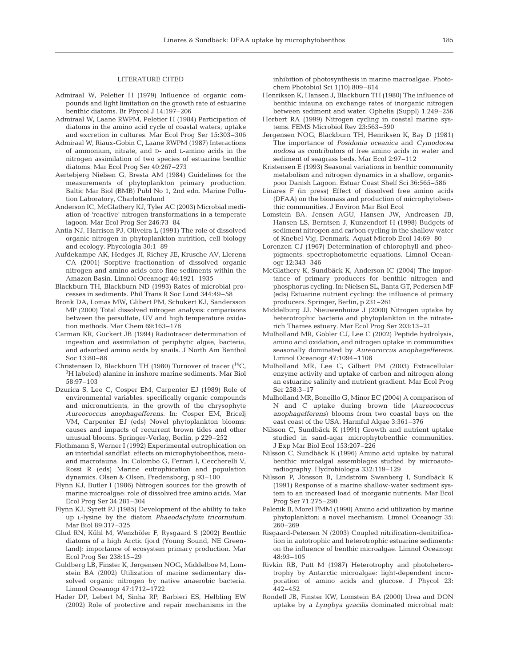#### LITERATURE CITED

- Admiraal W, Peletier H (1979) Influence of organic compounds and light limitation on the growth rate of estuarine benthic diatoms. Br Phycol J 14:197–206
- Admiraal W, Laane RWPM, Peletier H (1984) Participation of diatoms in the amino acid cycle of coastal waters; uptake and excretion in cultures. Mar Ecol Prog Ser 15:303–306
- Admiraal W, Riaux-Gobin C, Laane RWPM (1987) Interactions of ammonium, nitrate, and D- and L-amino acids in the nitrogen assimilation of two species of estuarine benthic diatoms. Mar Ecol Prog Ser 40:267–273
- Aertebjerg Nielsen G, Bresta AM (1984) Guidelines for the measurements of phytoplankton primary production. Baltic Mar Biol (BMB) Publ No 1, 2nd edn. Marine Pollution Laboratory, Charlottenlund
- Anderson IC, McGlathery KJ, Tyler AC (2003) Microbial mediation of 'reactive' nitrogen transformations in a temperate lagoon. Mar Ecol Prog Ser 246:73–84
- Antia NJ, Harrison PJ, Oliveira L (1991) The role of dissolved organic nitrogen in phytoplankton nutrition, cell biology and ecology. Phycologia 30:1–89
- Aufdekampe AK, Hedges JI, Richey JE, Krusche AV, Llerena CA (2001) Sorptive fractionation of dissolved organic nitrogen and amino acids onto fine sediments within the Amazon Basin. Limnol Oceanogr 46:1921–1935
- Blackburn TH, Blackburn ND (1993) Rates of microbial processes in sediments. Phil Trans R Soc Lond 344:49–58
- Bronk DA, Lomas MW, Glibert PM, Schukert KJ, Sandersson MP (2000) Total dissolved nitrogen analysis: comparisons between the persulfate, UV and high temperature oxidation methods. Mar Chem 69:163–178
- Carman KR, Guckert JB (1994) Radiotracer determination of ingestion and assimilation of periphytic algae, bacteria, and adsorbed amino acids by snails. J North Am Benthol Soc 13:80–88
- Christensen D, Blackburn TH (1980) Turnover of tracer  $(^{14}C,$ 3 H labeled) alanine in inshore marine sediments. Mar Biol 58:97–103
- Dzurica S, Lee C, Cosper EM, Carpenter EJ (1989) Role of environmental variables, specifically organic compounds and micronutrients, in the growth of the chrysophyte *Aureococcus anophagefferens*. In: Cosper EM, Bricelj VM, Carpenter EJ (eds) Novel phytoplankton blooms: causes and impacts of recurrent brown tides and other unusual blooms. Springer-Verlag, Berlin, p 229–252
- Flothmann S, Werner I (1992) Experimental eutrophication on an intertidal sandflat: effects on microphytobenthos, meioand macrofauna. In: Colombo G, Ferrari I, Ceccherelli V, Rossi R (eds) Marine eutrophication and population dynamics. Olsen & Olsen, Fredensborg, p 93–100
- Flynn KJ, Butler I (1986) Nitrogen sources for the growth of marine microalgae: role of dissolved free amino acids. Mar Ecol Prog Ser 34:281–304
- Flynn KJ, Syrett PJ (1985) Development of the ability to take up L-lysine by the diatom *Phaeodactylum tricornutum*. Mar Biol 89:317–325
- Glud RN, Kühl M, Wenzhöfer F, Rysgaard S (2002) Benthic diatoms of a high Arctic fjord (Young Sound, NE Greenland): importance of ecosystem primary production. Mar Ecol Prog Ser 238:15–29
- Guldberg LB, Finster K, Jørgensen NOG, Middelboe M, Lomstein BA (2002) Utilization of marine sedimentary dissolved organic nitrogen by native anaerobic bacteria. Limnol Oceanogr 47:1712–1722
- Hader DP, Lebert M, Sinha RP, Barbieri ES, Helbling EW (2002) Role of protective and repair mechanisms in the

inhibition of photosynthesis in marine macroalgae. Photochem Photobiol Sci 1(10):809–814

- Henriksen K, Hansen J, Blackburn TH (1980) The influence of benthic infauna on exchange rates of inorganic nitrogen between sediment and water. Ophelia (Suppl) 1:249–256
- Herbert RA (1999) Nitrogen cycling in coastal marine systems. FEMS Microbiol Rev 23:563–590
- Jørgensen NOG, Blackburn TH, Henriksen K, Bay D (1981) The importance of *Posidonia oceanica* and *Cymodocea nodosa* as contributors of free amino acids in water and sediment of seagrass beds. Mar Ecol 2:97–112
- Kristensen E (1993) Seasonal variations in benthic community metabolism and nitrogen dynamics in a shallow, organicpoor Danish Lagoon. Estuar Coast Shelf Sci 36:565–586
- Linares F (in press) Effect of dissolved free amino acids (DFAA) on the biomass and production of microphytobenthic communities. J Environ Mar Biol Ecol
- Lomstein BA, Jensen AGU, Hansen JW, Andreasen JB, Hansen LS, Berntsen J, Kunzendorf H (1998) Budgets of sediment nitrogen and carbon cycling in the shallow water of Knebel Vig, Denmark. Aquat Microb Ecol 14:69–80
- Lorenzen CJ (1967) Determination of chlorophyll and pheopigments: spectrophotometric equations. Limnol Oceanogr 12:343–346
- McGlathery K, Sundbäck K, Anderson IC (2004) The importance of primary producers for benthic nitrogen and phosphorus cycling. In: Nielsen SL, Banta GT, Pedersen MF (eds) Estuarine nutrient cycling: the influence of primary producers. Springer, Berlin, p 231–261
- Middelburg JJ, Nieuwenhuize J (2000) Nitrogen uptake by heterotrophic bacteria and phytoplankton in the nitraterich Thames estuary. Mar Ecol Prog Ser 203:13–21
- Mulholland MR, Gobler CJ, Lee C (2002) Peptide hydrolysis, amino acid oxidation, and nitrogen uptake in communities seasonally dominated by *Aureococcus anophagefferens*. Limnol Oceanogr 47:1094–1108
- Mulholland MR, Lee C, Gilbert PM (2003) Extracellular enzyme activity and uptake of carbon and nitrogen along an estuarine salinity and nutrient gradient. Mar Ecol Prog Ser 258:3–17
- Mulholland MR, Boneillo G, Minor EC (2004) A comparison of N and C uptake during brown tide (*Aureococcus anophagefferens*) blooms from two coastal bays on the east coast of the USA. Harmful Algae 3:361–376
- Nilsson C, Sundbäck K (1991) Growth and nutrient uptake studied in sand-agar microphytobenthic communities. J Exp Mar Biol Ecol 153:207–226
- Nilsson C, Sundbäck K (1996) Amino acid uptake by natural benthic microalgal assemblages studied by microautoradiography. Hydrobiologia 332:119–129
- Nilsson P, Jönsson B, Lindström Swanberg I, Sundbäck K (1991) Response of a marine shallow-water sediment system to an increased load of inorganic nutrients. Mar Ecol Prog Ser 71:275–290
- Palenik B, Morel FMM (1990) Amino acid utilization by marine phytoplankton: a novel mechanism. Limnol Oceanogr 35: 260–269
- Risgaard-Petersen N (2003) Coupled nitrification-denitrification in autotrophic and heterotrophic estuarine sediments: on the influence of benthic microalgae. Limnol Oceanogr 48:93–105
- Rivkin RB, Putt M (1987) Heterotrophy and photoheterotrophy by Antarctic microalgae: light-dependent incorporation of amino acids and glucose. J Phycol 23: 442–452
- Rondell JB, Finster KW, Lomstein BA (2000) Urea and DON uptake by a *Lyngbya gracilis* dominated microbial mat: